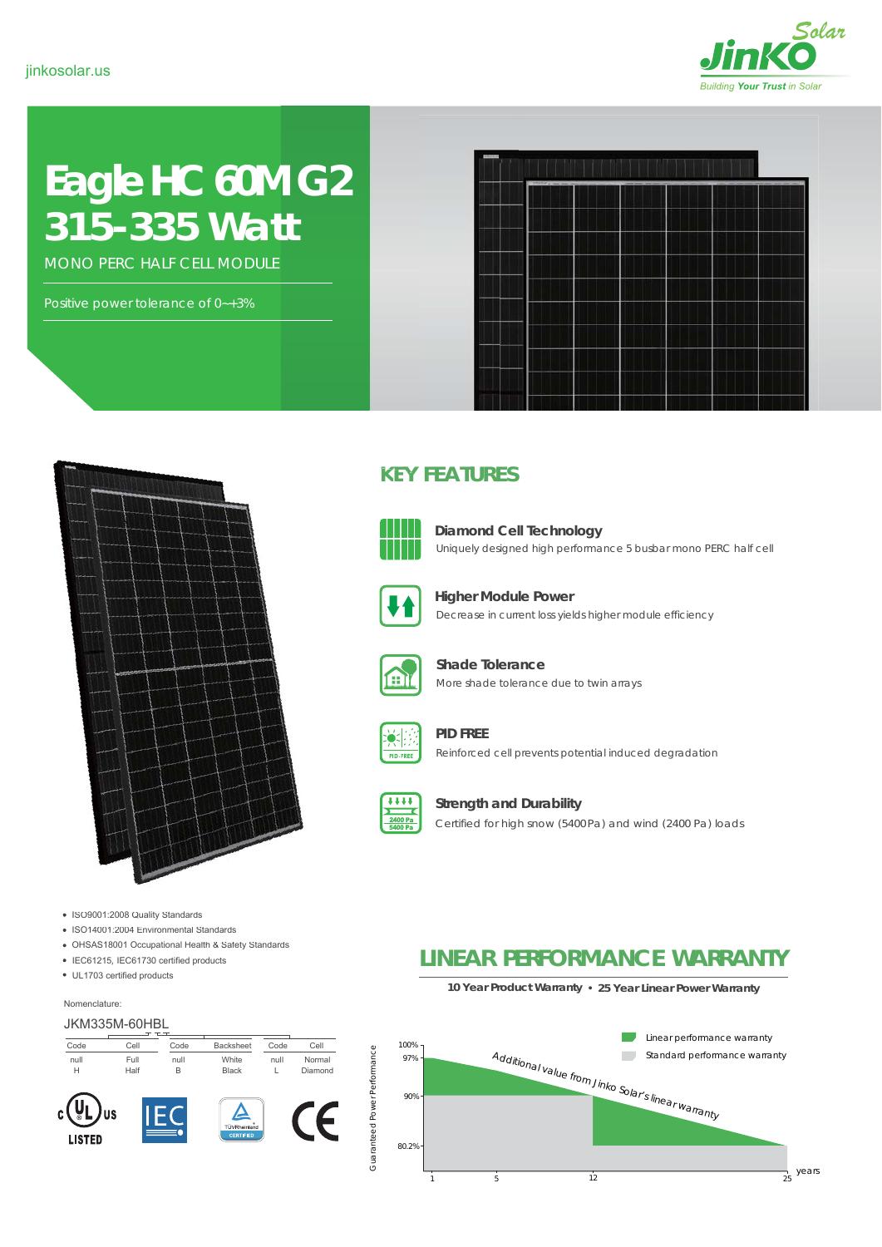

# *315-335 Watt* **Eagle HC 60M G2**

MONO PERC HALF CELL MODULE

Positive power tolerance of 0~+3%

| <b>DESPIT AVEN</b> |  |
|--------------------|--|
|                    |  |
|                    |  |
|                    |  |
|                    |  |
|                    |  |



ISO9001:2008 Quality Standards Quality

- ISO14001:2004 Environmental Standards
- ISO14001:2004 Environmental Standards<br>OHSAS18001 Occupational Health & Safety Standards
- IEC61215, IEC61730 certified products
- UL1703 certified products

Nomenclature:

#### JKM335M-60HBL



# **KEY FEATURES KEY**



**Diamond Cell Technology** Uniquely designed high performance 5 busbar mono PERC half cell



**Higher Module Power** Decrease in current loss yields higher module efficiency



**Shade Tolerance** More shade tolerance due to twin arrays



**PID FREE** Reinforced cell prevents potential induced degradation



Certified for high snow (5400Pa) and wind (2400 Pa) loads **Strength and Durability**

## **LINEAR PERFORMANCE WARRANTY**

**10 Year Product Warranty 25 Year Linear Power Warranty**